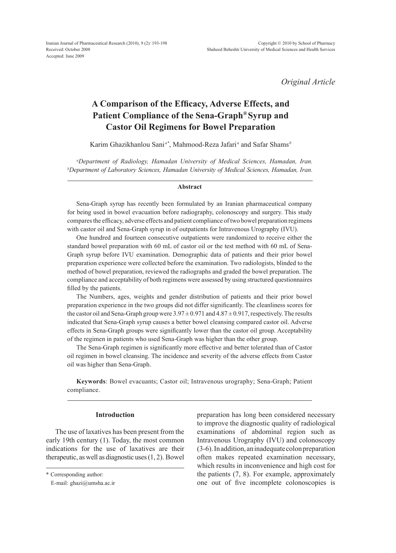*Original Article*

# **A Comparison of the Efficacy, Adverse Effects, and Patient Compliance of the Sena-Graph® Syrup and Castor Oil Regimens for Bowel Preparation**

Karim Ghazikhanlou Sani *a\**, Mahmood-Reza Jafari*<sup>a</sup>* and Safar Shams*<sup>b</sup>*

*a Department of Radiology, Hamadan University of Medical Sciences, Hamadan, Iran. b Department of Laboratory Sciences, Hamadan University of Medical Sciences, Hamadan, Iran.*

#### **Abstract**

Sena-Graph syrup has recently been formulated by an Iranian pharmaceutical company for being used in bowel evacuation before radiography, colonoscopy and surgery. This study compares the efficacy, adverse effects and patient compliance of two bowel preparation regimens with castor oil and Sena-Graph syrup in of outpatients for Intravenous Urography (IVU).

One hundred and fourteen consecutive outpatients were randomized to receive either the standard bowel preparation with 60 mL of castor oil or the test method with 60 mL of Sena-Graph syrup before IVU examination. Demographic data of patients and their prior bowel preparation experience were collected before the examination. Two radiologists, blinded to the method of bowel preparation, reviewed the radiographs and graded the bowel preparation. The compliance and acceptability of both regimens were assessed by using structured questionnaires filled by the patients.

The Numbers, ages, weights and gender distribution of patients and their prior bowel preparation experience in the two groups did not differ significantly. The cleanliness scores for the castor oil and Sena-Graph group were  $3.97 \pm 0.971$  and  $4.87 \pm 0.917$ , respectively. The results indicated that Sena-Graph syrup causes a better bowel cleansing compared castor oil. Adverse effects in Sena-Graph groups were significantly lower than the castor oil group. Acceptability of the regimen in patients who used Sena-Graph was higher than the other group.

The Sena-Graph regimen is significantly more effective and better tolerated than of Castor oil regimen in bowel cleansing. The incidence and severity of the adverse effects from Castor oil was higher than Sena-Graph.

**Keywords**: Bowel evacuants; Castor oil; Intravenous urography; Sena-Graph; Patient compliance.

## **Introduction**

The use of laxatives has been present from the early 19th century (1). Today, the most common indications for the use of laxatives are their therapeutic, as well as diagnostic uses (1, 2). Bowel preparation has long been considered necessary to improve the diagnostic quality of radiological examinations of abdominal region such as Intravenous Urography (IVU) and colonoscopy (3-6). In addition, an inadequate colon preparation often makes repeated examination necessary, which results in inconvenience and high cost for the patients (7, 8). For example, approximately one out of five incomplete colonoscopies is

<sup>\*</sup> Corresponding author:

E-mail: ghazi@umsha.ac.ir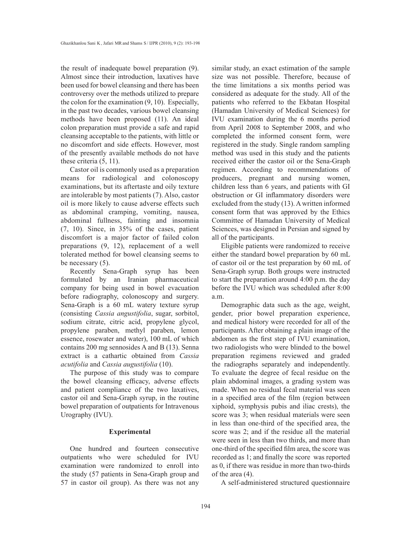the result of inadequate bowel preparation (9). Almost since their introduction, laxatives have been used for bowel cleansing and there has been controversy over the methods utilized to prepare the colon for the examination (9, 10). Especially, in the past two decades, various bowel cleansing methods have been proposed (11). An ideal colon preparation must provide a safe and rapid cleansing acceptable to the patients, with little or no discomfort and side effects. However, most of the presently available methods do not have these criteria (5, 11).

Castor oil is commonly used as a preparation means for radiological and colonoscopy examinations, but its aftertaste and oily texture are intolerable by most patients (7). Also, castor oil is more likely to cause adverse effects such as abdominal cramping, vomiting, nausea, abdominal fullness, fainting and insomnia (7, 10). Since, in 35% of the cases, patient discomfort is a major factor of failed colon preparations (9, 12), replacement of a well tolerated method for bowel cleansing seems to be necessary (5).

Recently Sena-Graph syrup has been formulated by an Iranian pharmaceutical company for being used in bowel evacuation before radiography, colonoscopy and surgery. Sena-Graph is a 60 mL watery texture syrup (consisting *Cassia angustifolia*, sugar, sorbitol, sodium citrate, citric acid, propylene glycol, propylene paraben, methyl paraben, lemon essence, rosewater and water), 100 mL of which contains 200 mg sennosides A and B (13). Senna extract is a cathartic obtained from *Cassia acutifolia* and *Cassia augustifolia* (10).

The purpose of this study was to compare the bowel cleansing efficacy, adverse effects and patient compliance of the two laxatives, castor oil and Sena-Graph syrup, in the routine bowel preparation of outpatients for Intravenous Urography (IVU).

#### **Experimental**

One hundred and fourteen consecutive outpatients who were scheduled for IVU examination were randomized to enroll into the study (57 patients in Sena-Graph group and 57 in castor oil group). As there was not any similar study, an exact estimation of the sample size was not possible. Therefore, because of the time limitations a six months period was considered as adequate for the study. All of the patients who referred to the Ekbatan Hospital (Hamadan University of Medical Sciences) for IVU examination during the 6 months period from April 2008 to September 2008, and who completed the informed consent form, were registered in the study. Single random sampling method was used in this study and the patients received either the castor oil or the Sena-Graph regimen. According to recommendations of producers, pregnant and nursing women, children less than 6 years, and patients with GI obstruction or GI inflammatory disorders were excluded from the study (13). A written informed consent form that was approved by the Ethics Committee of Hamadan University of Medical Sciences, was designed in Persian and signed by all of the participants.

Eligible patients were randomized to receive either the standard bowel preparation by 60 mL of castor oil or the test preparation by 60 mL of Sena-Graph syrup. Both groups were instructed to start the preparation around 4:00 p.m. the day before the IVU which was scheduled after 8:00 a.m.

Demographic data such as the age, weight, gender, prior bowel preparation experience, and medical history were recorded for all of the participants. After obtaining a plain image of the abdomen as the first step of IVU examination, two radiologists who were blinded to the bowel preparation regimens reviewed and graded the radiographs separately and independently. To evaluate the degree of fecal residue on the plain abdominal images, a grading system was made. When no residual fecal material was seen in a specified area of the film (region between xiphoid, symphysis pubis and iliac crests), the score was 3; when residual materials were seen in less than one-third of the specified area, the score was 2; and if the residue all the material were seen in less than two thirds, and more than one-third of the specified film area, the score was recorded as 1; and finally the score was reported as 0, if there was residue in more than two-thirds of the area (4).

A self-administered structured questionnaire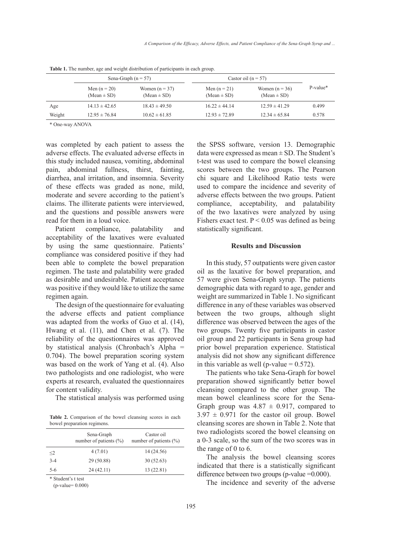|        |                                   | Sena-Graph $(n = 57)$               | Castor oil $(n = 57)$             |                                     |            |  |
|--------|-----------------------------------|-------------------------------------|-----------------------------------|-------------------------------------|------------|--|
|        | Men $(n = 20)$<br>$(Mean \pm SD)$ | Women $(n = 37)$<br>$(Mean \pm SD)$ | Men $(n = 21)$<br>$(Mean \pm SD)$ | Women $(n = 36)$<br>$(Mean \pm SD)$ | $P-value*$ |  |
| Age    | $14.13 \pm 42.65$                 | $18.43 \pm 49.50$                   | $16.22 \pm 44.14$                 | $12.59 \pm 41.29$                   | 0.499      |  |
| Weight | $12.95 \pm 76.84$                 | $10.62 \pm 61.85$                   | $12.93 \pm 72.89$                 | $12.34 \pm 65.84$                   | 0.578      |  |

**Table 1.** The number, age and weight distribution of participants in each group.

\* One-way ANOVA

was completed by each patient to assess the adverse effects. The evaluated adverse effects in this study included nausea, vomiting, abdominal pain, abdominal fullness, thirst, fainting, diarrhea, anal irritation, and insomnia. Severity of these effects was graded as none, mild, moderate and severe according to the patient's claims. The illiterate patients were interviewed, and the questions and possible answers were read for them in a loud voice.

Patient compliance, palatability and acceptability of the laxatives were evaluated by using the same questionnaire. Patients' compliance was considered positive if they had been able to complete the bowel preparation regimen. The taste and palatability were graded as desirable and undesirable. Patient acceptance was positive if they would like to utilize the same regimen again.

The design of the questionnaire for evaluating the adverse effects and patient compliance was adapted from the works of Guo et al. (14), Hwang et al. (11), and Chen et al. (7). The reliability of the questionnaires was approved by statistical analysis (Chronbach's Alpha = 0.704). The bowel preparation scoring system was based on the work of Yang et al. (4). Also two pathologists and one radiologist, who were experts at research, evaluated the questionnaires for content validity.

The statistical analysis was performed using

**Table 2.** Comparison of the bowel cleansing scores in each bowel preparation regimens.

|          | Sena-Graph<br>number of patients $(\% )$ | Castor oil<br>number of patients $(\% )$ |
|----------|------------------------------------------|------------------------------------------|
| $\leq$ 2 | 4(7.01)                                  | 14 (24.56)                               |
| $3-4$    | 29 (50.88)                               | 30(52.63)                                |
| 5-6      | 24 (42.11)                               | 13(22.81)                                |

\* Student's t test

(p-value= 0.000)

the SPSS software, version 13. Demographic data were expressed as mean  $\pm$  SD. The Student's t-test was used to compare the bowel cleansing scores between the two groups. The Pearson chi square and Likelihood Ratio tests were used to compare the incidence and severity of adverse effects between the two groups. Patient compliance, acceptability, and palatability of the two laxatives were analyzed by using Fishers exact test.  $P < 0.05$  was defined as being statistically significant.

### **Results and Discussion**

In this study, 57 outpatients were given castor oil as the laxative for bowel preparation, and 57 were given Sena-Graph syrup. The patients demographic data with regard to age, gender and weight are summarized in Table 1. No significant difference in any of these variables was observed between the two groups, although slight difference was observed between the ages of the two groups. Twenty five participants in castor oil group and 22 participants in Sena group had prior bowel preparation experience. Statistical analysis did not show any significant difference in this variable as well (p-value  $= 0.572$ ).

The patients who take Sena-Graph for bowel preparation showed significantly better bowel cleansing compared to the other group. The mean bowel cleanliness score for the Sena-Graph group was  $4.87 \pm 0.917$ , compared to  $3.97 \pm 0.971$  for the castor oil group. Bowel cleansing scores are shown in Table 2. Note that two radiologists scored the bowel cleansing on a 0-3 scale, so the sum of the two scores was in the range of 0 to 6.

The analysis the bowel cleansing scores indicated that there is a statistically significant difference between two groups (p-value = 0.000).

The incidence and severity of the adverse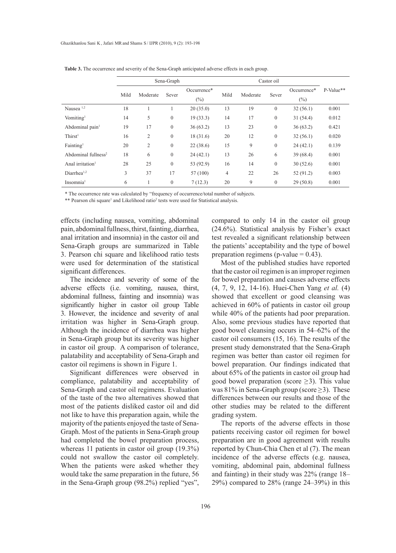|                                 | Sena-Graph |                |                  | Castor oil  |      |          |                  |             |           |
|---------------------------------|------------|----------------|------------------|-------------|------|----------|------------------|-------------|-----------|
|                                 | Mild       | Moderate       | Sever            | Occurrence* | Mild | Moderate | Sever            | Occurrence* | P-Value** |
|                                 |            |                |                  | $(\%)$      |      |          |                  | $(\%)$      |           |
| Nausea <sup>1,2</sup>           | 18         |                |                  | 20(35.0)    | 13   | 19       | $\boldsymbol{0}$ | 32(56.1)    | 0.001     |
| Vomiting <sup>1</sup>           | 14         | 5              | $\boldsymbol{0}$ | 19(33.3)    | 14   | 17       | $\boldsymbol{0}$ | 31(54.4)    | 0.012     |
| Abdominal pain <sup>1</sup>     | 19         | 17             | $\boldsymbol{0}$ | 36(63.2)    | 13   | 23       | $\boldsymbol{0}$ | 36(63.2)    | 0.421     |
| Thirst <sup>1</sup>             | 16         | $\overline{2}$ | $\boldsymbol{0}$ | 18(31.6)    | 20   | 12       | $\boldsymbol{0}$ | 32(56.1)    | 0.020     |
| Fainting <sup>1</sup>           | 20         | $\overline{2}$ | $\mathbf{0}$     | 22(38.6)    | 15   | 9        | $\mathbf{0}$     | 24(42.1)    | 0.139     |
| Abdominal fullness <sup>2</sup> | 18         | 6              | $\mathbf{0}$     | 24(42.1)    | 13   | 26       | 6                | 39(68.4)    | 0.001     |
| Anal irritation <sup>1</sup>    | 28         | 25             | $\mathbf{0}$     | 53 (92.9)   | 16   | 14       | $\mathbf{0}$     | 30(52.6)    | 0.001     |
| $Diar$ rhea $1,2$               | 3          | 37             | 17               | 57 (100)    | 4    | 22       | 26               | 52(91.2)    | 0.003     |
| Insomnia <sup>1</sup>           | 6          |                | $\boldsymbol{0}$ | 7(12.3)     | 20   | 9        | $\boldsymbol{0}$ | 29(50.8)    | 0.001     |

**Table 3.** The occurrence and severity of the Sena-Graph anticipated adverse effects in each group.

\* The occurrence rate was calculated by "frequency of occurrence/total number of subjects.

\*\* Pearson chi square<sup>1</sup> and Likelihood ratio<sup>2</sup> tests were used for Statistical analysis.

effects (including nausea, vomiting, abdominal pain, abdominal fullness, thirst, fainting, diarrhea, anal irritation and insomnia) in the castor oil and Sena-Graph groups are summarized in Table 3. Pearson chi square and likelihood ratio tests were used for determination of the statistical significant differences.

The incidence and severity of some of the adverse effects (i.e. vomiting, nausea, thirst, abdominal fullness, fainting and insomnia) was significantly higher in castor oil group Table 3. However, the incidence and severity of anal irritation was higher in Sena-Graph group. Although the incidence of diarrhea was higher in Sena-Graph group but its severity was higher in castor oil group. A comparison of tolerance, palatability and acceptability of Sena-Graph and castor oil regimens is shown in Figure 1.

Significant differences were observed in compliance, palatability and acceptability of Sena-Graph and castor oil regimens. Evaluation of the taste of the two alternatives showed that most of the patients disliked castor oil and did not like to have this preparation again, while the majority of the patients enjoyed the taste of Sena-Graph. Most of the patients in Sena-Graph group had completed the bowel preparation process, whereas 11 patients in castor oil group (19.3%) could not swallow the castor oil completely. When the patients were asked whether they would take the same preparation in the future, 56 in the Sena-Graph group (98.2%) replied "yes",

compared to only 14 in the castor oil group (24.6%). Statistical analysis by Fisher's exact test revealed a significant relationship between the patients' acceptability and the type of bowel preparation regimens (p-value  $= 0.43$ ).

Most of the published studies have reported that the castor oil regimen is an improper regimen for bowel preparation and causes adverse effects (4, 7, 9, 12, 14-16). Huei-Chen Yang *et al.* (4) showed that excellent or good cleansing was achieved in 60% of patients in castor oil group while 40% of the patients had poor preparation. Also, some previous studies have reported that good bowel cleansing occurs in 54–62% of the castor oil consumers (15, 16). The results of the present study demonstrated that the Sena-Graph regimen was better than castor oil regimen for bowel preparation. Our findings indicated that about 65% of the patients in castor oil group had good bowel preparation (score  $\geq$ 3). This value was 81% in Sena-Graph group (score  $\geq$ 3). These differences between our results and those of the other studies may be related to the different grading system.

The reports of the adverse effects in those patients receiving castor oil regimen for bowel preparation are in good agreement with results reported by Chun-Chia Chen et al (7). The mean incidence of the adverse effects (e.g. nausea, vomiting, abdominal pain, abdominal fullness and fainting) in their study was 22% (range 18– 29%) compared to 28% (range 24–39%) in this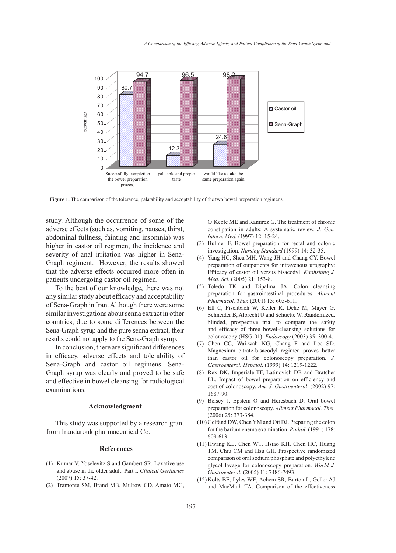

**Figure 1.** The comparison of the tolerance, palatability and acceptability of the two bowel preparation regimens.

study. Although the occurrence of some of the adverse effects (such as, vomiting, nausea, thirst, abdominal fullness, fainting and insomnia) was higher in castor oil regimen, the incidence and severity of anal irritation was higher in Sena-Graph regiment. However, the results showed that the adverse effects occurred more often in patients undergoing castor oil regimen.

To the best of our knowledge, there was not any similar study about efficacy and acceptability of Sena-Graph in Iran. Although there were some similar investigations about senna extract in other countries, due to some differences between the Sena-Graph syrup and the pure senna extract, their results could not apply to the Sena-Graph syrup.

In conclusion, there are significant differences in efficacy, adverse effects and tolerability of Sena-Graph and castor oil regimens. Sena-Graph syrup was clearly and proved to be safe and effective in bowel cleansing for radiological examinations.

#### **Acknowledgment**

This study was supported by a research grant from Irandarouk pharmaceutical Co.

#### **References**

- (1) Kumar V, Yoselevitz S and Gambert SR. Laxative use and abuse in the older adult: Part I. *Clinical Geriatrics*  $(2007)$  15: 37-42.
- (2) Tramonte SM, Brand MB, Mulrow CD, Amato MG,

O'Keefe ME and Ramirez G. The treatment of chronic constipation in adults: A systematic review. *J. Gen. Intern. Med.* (1997) 12: 15-24.

- (3) Bulmer F. Bowel preparation for rectal and colonic investigation. *Nursing Standard* (1999) 14: 32-35.
- (4) Yang HC, Sheu MH, Wang JH and Chang CY. Bowel preparation of outpatients for intravenous urography: Efficacy of castor oil versus bisacodyl. *Kaohsiung J. Med. Sci.* (2005) 21: 153-8.
- (5) Toledo TK and Dipalma JA. Colon cleansing preparation for gastrointestinal procedures. *Aliment Pharmacol. Ther.* (2001) 15: 605-611.
- Ell C, Fischbach W, Keller R, Dehe M, Mayer G, (6) Schneider B, Albrecht U and Schuette W. Randomized, blinded, prospective trial to compare the safety and efficacy of three bowel-cleansing solutions for colonoscopy (HSG-01). *Endoscopy* (2003) 35: 300-4.
- (7) Chen CC, Wai-wah NG, Chang F and Lee SD. Magnesium citrate-bisacodyl regimen proves better than castor oil for colonoscopy preparation. *J. Gastroenterol. Hepatol*. (1999) 14: 1219-1222.
- (8) Rex DK, Imperiale TF, Latinovich DR and Bratcher LL. Impact of bowel preparation on efficiency and cost of colonoscopy. *Am. J. Gastroenterol*. (2002) 97: 1687-90.
- Belsey J, Epstein O and Heresbach D. Oral bowel (9) preparation for colonoscopy. *Aliment Pharmacol. Ther.* (2006) 25: 373-384.
- (10) Gelfand DW, Chen YM and Ott DJ. Preparing the colon for the barium enema examination. *Radiol.* (1991) 178: 609-613.
- (11) Hwang KL, Chen WT, Hsiao KH, Chen HC, Huang TM, Chiu CM and Hsu GH. Prospective randomized comparison of oral sodium phosphate and polyethylene glycol lavage for colonoscopy preparation. *World J. Gastroenterol.* (2005) 11: 7486-7493.
- (12) Kolts BE, Lyles WE, Achem SR, Burton L, Geller AJ and MacMath TA. Comparison of the effectiveness